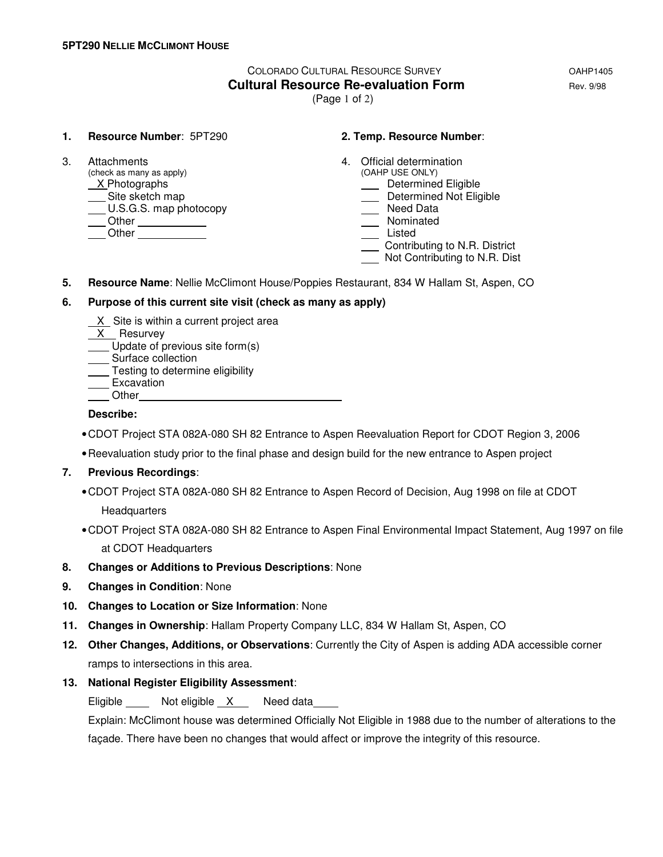# COLORADO CULTURAL RESOURCE SURVEY OAHP1405 **Cultural Resource Re-evaluation Form Equation Rev. 9/98**

(Page 1 of 2)

#### **1. Resource Number**: 5PT290 **2. Temp. Resource Number**:

 $(check as many as apply)$ X Photographs **Determined Eligible**<br>
Site sketch map<br>
Determined Not Elig U.S.G.S. map photocopy Other Nominated Listed Communication Communication Communication Communication Communication Communication Communication Communication Communication Communication Communication Communication Communication Communication Communication Commu

- 3. Attachments 4. Official determination (check as many as apply)  $\overline{a}$  4. Official determination
	- - **Site Site Share Share Share Share Share Share Share Share Share Share Share Share Share Share Share Share Share Share Share Share Share Share Share Share Share Share Share Share Share Share Share Share Share Share Share S**
	- -
	-
	- Contributing to N.R. District
	- Not Contributing to N.R. Dist
- **5. Resource Name**: Nellie McClimont House/Poppies Restaurant, 834 W Hallam St, Aspen, CO

### **6. Purpose of this current site visit (check as many as apply)**

- X Site is within a current project area
- X Resurvey
- Update of previous site form(s)
- Surface collection
- **Testing to determine eligibility**
- ⊥<del>com s</del><br>Excavation
- **Other**

#### **Describe:**

- CDOT Project STA 082A-080 SH 82 Entrance to Aspen Reevaluation Report for CDOT Region 3, 2006
- Reevaluation study prior to the final phase and design build for the new entrance to Aspen project

### **7. Previous Recordings**:

- CDOT Project STA 082A-080 SH 82 Entrance to Aspen Record of Decision, Aug 1998 on file at CDOT **Headquarters**
- CDOT Project STA 082A-080 SH 82 Entrance to Aspen Final Environmental Impact Statement, Aug 1997 on file at CDOT Headquarters
- **8. Changes or Additions to Previous Descriptions**: None
- **9. Changes in Condition**: None
- **10. Changes to Location or Size Information**: None
- **11. Changes in Ownership**: Hallam Property Company LLC, 834 W Hallam St, Aspen, CO
- **12. Other Changes, Additions, or Observations**: Currently the City of Aspen is adding ADA accessible corner ramps to intersections in this area.

### **13. National Register Eligibility Assessment**:

Eligible Not eligible X Need data

 Explain: McClimont house was determined Officially Not Eligible in 1988 due to the number of alterations to the façade. There have been no changes that would affect or improve the integrity of this resource.